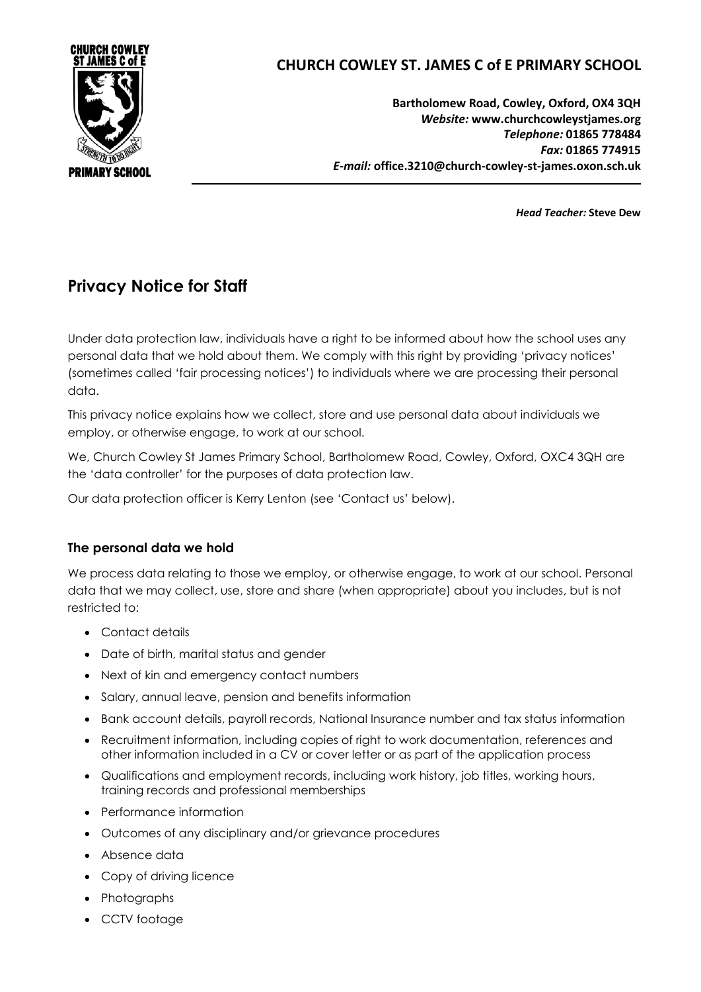

# **CHURCH COWLEY ST. JAMES C of E PRIMARY SCHOOL**

**Bartholomew Road, Cowley, Oxford, OX4 3QH** *Website:* **www.churchcowleystjames.org** *Telephone:* **01865 778484** *Fax:* **01865 774915** *E-mail:* **office.3210@church-cowley-st-james.oxon.sch.uk**

*Head Teacher:* **Steve Dew**

# **Privacy Notice for Staff**

Under data protection law, individuals have a right to be informed about how the school uses any personal data that we hold about them. We comply with this right by providing 'privacy notices' (sometimes called 'fair processing notices') to individuals where we are processing their personal data.

This privacy notice explains how we collect, store and use personal data about individuals we employ, or otherwise engage, to work at our school.

We, Church Cowley St James Primary School, Bartholomew Road, Cowley, Oxford, OXC4 3QH are the 'data controller' for the purposes of data protection law.

Our data protection officer is Kerry Lenton (see 'Contact us' below).

# **The personal data we hold**

We process data relating to those we employ, or otherwise engage, to work at our school. Personal data that we may collect, use, store and share (when appropriate) about you includes, but is not restricted to:

- Contact details
- Date of birth, marital status and gender
- Next of kin and emergency contact numbers
- Salary, annual leave, pension and benefits information
- Bank account details, payroll records, National Insurance number and tax status information
- Recruitment information, including copies of right to work documentation, references and other information included in a CV or cover letter or as part of the application process
- Qualifications and employment records, including work history, job titles, working hours, training records and professional memberships
- Performance information
- Outcomes of any disciplinary and/or grievance procedures
- Absence data
- Copy of driving licence
- Photographs
- CCTV footage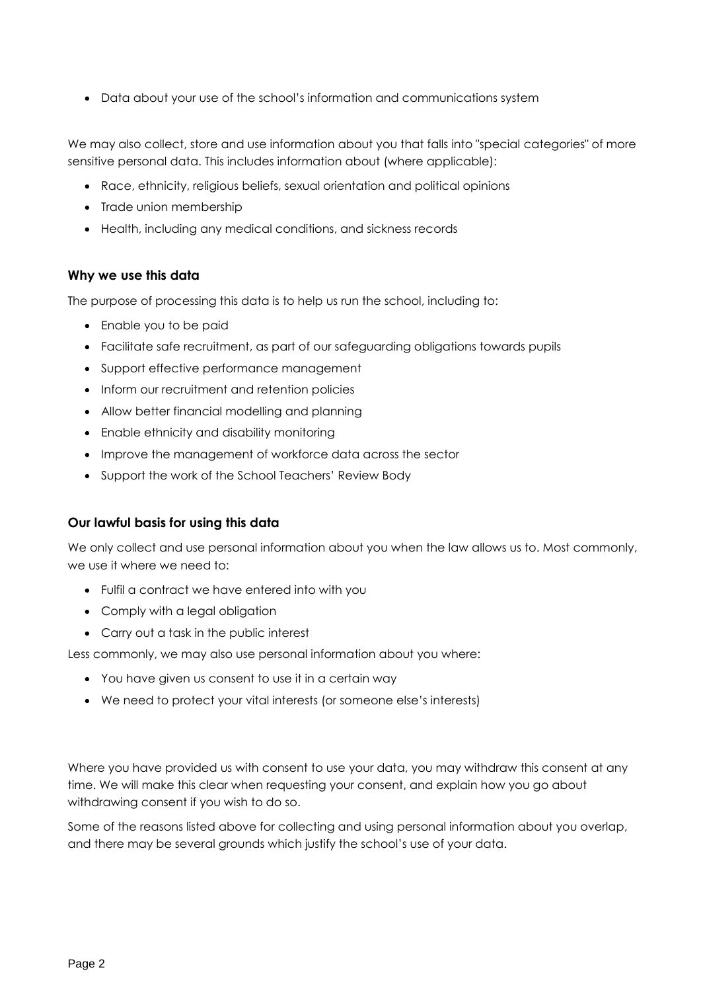Data about your use of the school's information and communications system

We may also collect, store and use information about you that falls into "special categories" of more sensitive personal data. This includes information about (where applicable):

- Race, ethnicity, religious beliefs, sexual orientation and political opinions
- Trade union membership
- Health, including any medical conditions, and sickness records

### **Why we use this data**

The purpose of processing this data is to help us run the school, including to:

- Enable you to be paid
- Facilitate safe recruitment, as part of our safeguarding obligations towards pupils
- Support effective performance management
- Inform our recruitment and retention policies
- Allow better financial modelling and planning
- Enable ethnicity and disability monitoring
- Improve the management of workforce data across the sector
- Support the work of the School Teachers' Review Body

#### **Our lawful basis for using this data**

We only collect and use personal information about you when the law allows us to. Most commonly, we use it where we need to:

- Fulfil a contract we have entered into with you
- Comply with a legal obligation
- Carry out a task in the public interest

Less commonly, we may also use personal information about you where:

- You have given us consent to use it in a certain way
- We need to protect your vital interests (or someone else's interests)

Where you have provided us with consent to use your data, you may withdraw this consent at any time. We will make this clear when requesting your consent, and explain how you go about withdrawing consent if you wish to do so.

Some of the reasons listed above for collecting and using personal information about you overlap, and there may be several grounds which justify the school's use of your data.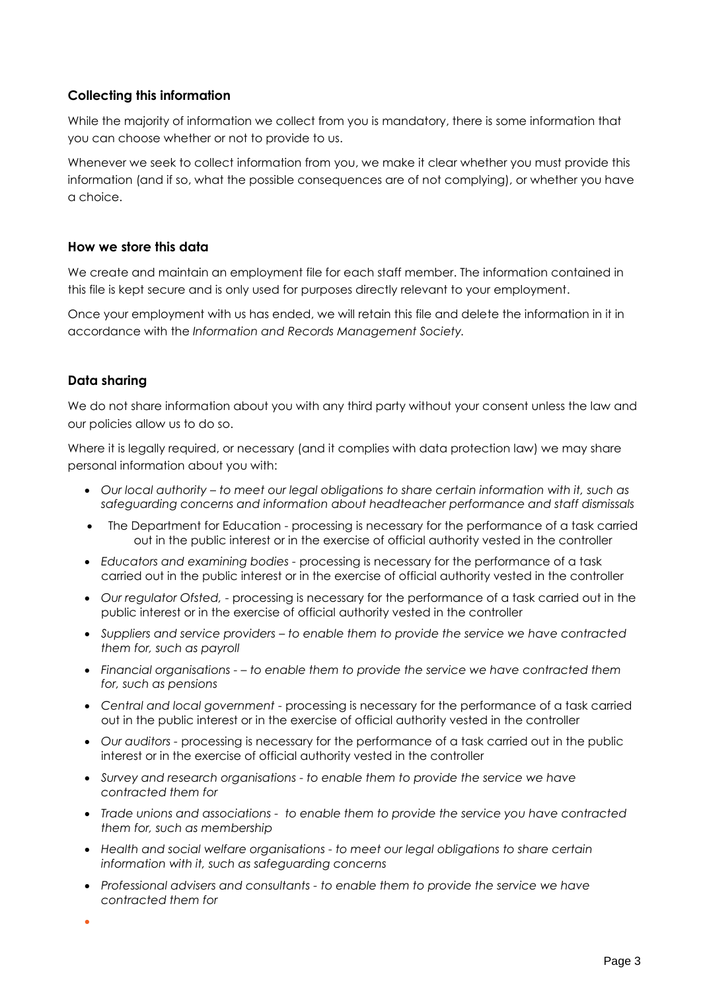# **Collecting this information**

While the majority of information we collect from you is mandatory, there is some information that you can choose whether or not to provide to us.

Whenever we seek to collect information from you, we make it clear whether you must provide this information (and if so, what the possible consequences are of not complying), or whether you have a choice.

#### **How we store this data**

We create and maintain an employment file for each staff member. The information contained in this file is kept secure and is only used for purposes directly relevant to your employment.

Once your employment with us has ended, we will retain this file and delete the information in it in accordance with the *[Information and Records Management Society.](http://irms.org.uk/?page=schoolstoolkit&terms=%22toolkit+and+schools%22)*

#### **Data sharing**

We do not share information about you with any third party without your consent unless the law and our policies allow us to do so.

Where it is legally required, or necessary (and it complies with data protection law) we may share personal information about you with:

- *Our local authority – to meet our legal obligations to share certain information with it, such as safeguarding concerns and information about headteacher performance and staff dismissals*
- The Department for Education processing is necessary for the performance of a task carried out in the public interest or in the exercise of official authority vested in the controller
- *Educators and examining bodies -* processing is necessary for the performance of a task carried out in the public interest or in the exercise of official authority vested in the controller
- *Our regulator Ofsted, -* processing is necessary for the performance of a task carried out in the public interest or in the exercise of official authority vested in the controller
- *Suppliers and service providers – to enable them to provide the service we have contracted them for, such as payroll*
- *Financial organisations - – to enable them to provide the service we have contracted them for, such as pensions*
- *Central and local government -* processing is necessary for the performance of a task carried out in the public interest or in the exercise of official authority vested in the controller
- *Our auditors -* processing is necessary for the performance of a task carried out in the public interest or in the exercise of official authority vested in the controller
- *Survey and research organisations - to enable them to provide the service we have contracted them for*
- *Trade unions and associations to enable them to provide the service you have contracted them for, such as membership*
- *Health and social welfare organisations - to meet our legal obligations to share certain information with it, such as safeguarding concerns*
- *Professional advisers and consultants - to enable them to provide the service we have contracted them for*
- $\bullet$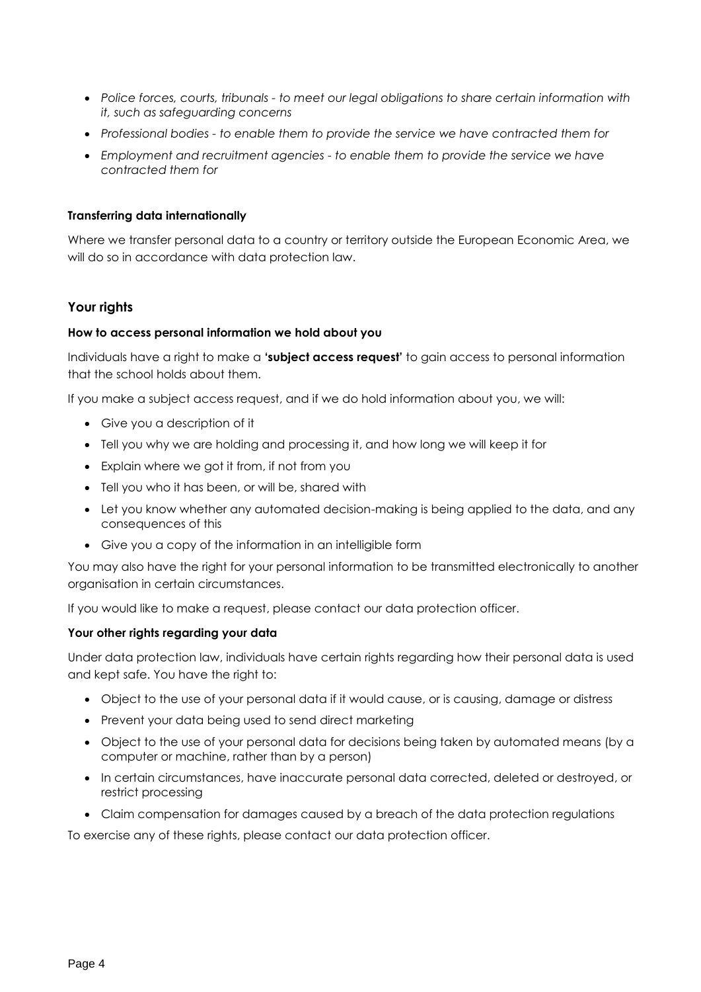- *Police forces, courts, tribunals - to meet our legal obligations to share certain information with it, such as safeguarding concerns*
- *Professional bodies - to enable them to provide the service we have contracted them for*
- *Employment and recruitment agencies - to enable them to provide the service we have contracted them for*

#### **Transferring data internationally**

Where we transfer personal data to a country or territory outside the European Economic Area, we will do so in accordance with data protection law.

#### **Your rights**

#### **How to access personal information we hold about you**

Individuals have a right to make a **'subject access request'** to gain access to personal information that the school holds about them.

If you make a subject access request, and if we do hold information about you, we will:

- Give you a description of it
- Tell you why we are holding and processing it, and how long we will keep it for
- Explain where we got it from, if not from you
- Tell you who it has been, or will be, shared with
- Let you know whether any automated decision-making is being applied to the data, and any consequences of this
- Give you a copy of the information in an intelligible form

You may also have the right for your personal information to be transmitted electronically to another organisation in certain circumstances.

If you would like to make a request, please contact our data protection officer.

#### **Your other rights regarding your data**

Under data protection law, individuals have certain rights regarding how their personal data is used and kept safe. You have the right to:

- Object to the use of your personal data if it would cause, or is causing, damage or distress
- Prevent your data being used to send direct marketing
- Object to the use of your personal data for decisions being taken by automated means (by a computer or machine, rather than by a person)
- In certain circumstances, have inaccurate personal data corrected, deleted or destroyed, or restrict processing
- Claim compensation for damages caused by a breach of the data protection regulations

To exercise any of these rights, please contact our data protection officer.